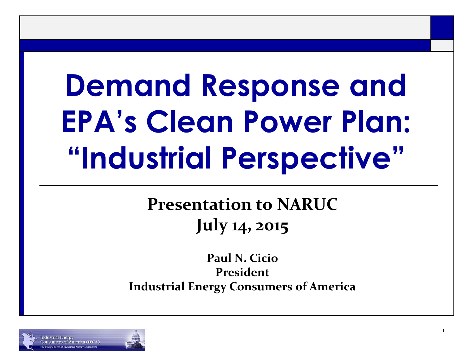# **Demand Response and EPA's Clean Power Plan: "Industrial Perspective"**

#### **Presentation to NARUC July 14, 2015**

**Paul N. Cicio President Industrial Energy Consumers of America**

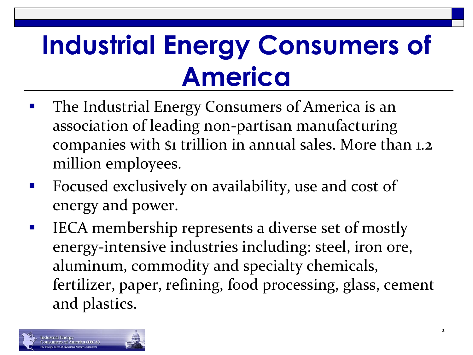### **Industrial Energy Consumers of America**

- The Industrial Energy Consumers of America is an association of leading non-partisan manufacturing companies with \$1 trillion in annual sales. More than 1.2 million employees.
- Focused exclusively on availability, use and cost of energy and power.
- **IFCA** membership represents a diverse set of mostly energy-intensive industries including: steel, iron ore, aluminum, commodity and specialty chemicals, fertilizer, paper, refining, food processing, glass, cement and plastics.

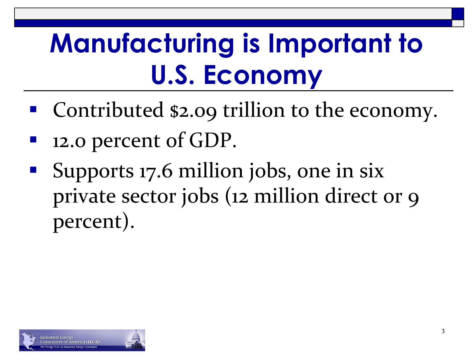### **Manufacturing is Important to U.S. Economy**

- Contributed \$2.09 trillion to the economy.
- 12.0 percent of GDP.
- Supports 17.6 million jobs, one in six private sector jobs (12 million direct or 9 percent).

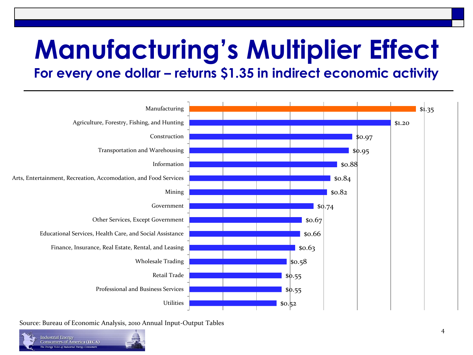# **Manufacturing's Multiplier Effect**

**For every one dollar – returns \$1.35 in indirect economic activity** 



Source: Bureau of Economic Analysis, 2010 Annual Input-Output Tables

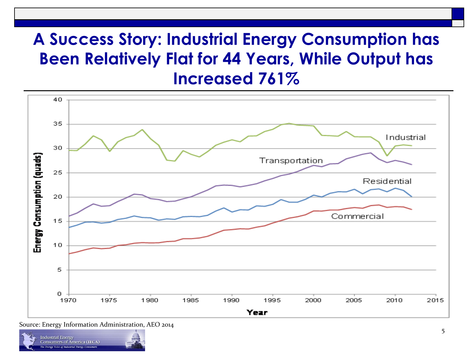#### **A Success Story: Industrial Energy Consumption has Been Relatively Flat for 44 Years, While Output has Increased 761%**



Source: Energy Information Administration, AEO 2014

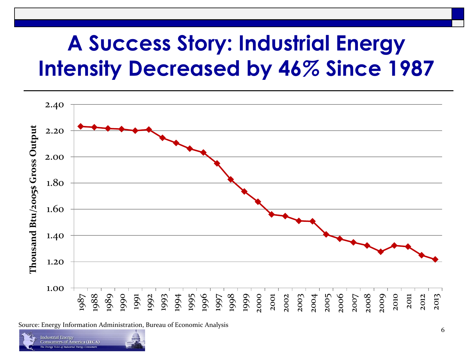### **A Success Story: Industrial Energy Intensity Decreased by 46***%* **Since 1987**



Source: Energy Information Administration, Bureau of Economic Analysis

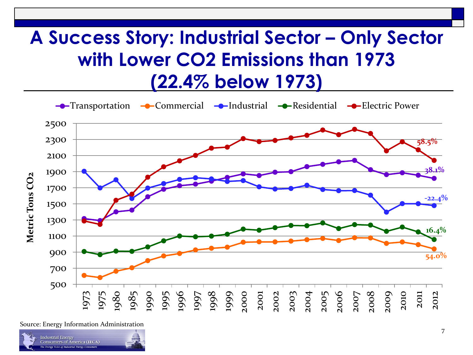#### **A Success Story: Industrial Sector – Only Sector with Lower CO2 Emissions than 1973 (22.4% below 1973)**



Source: Energy Information Administration

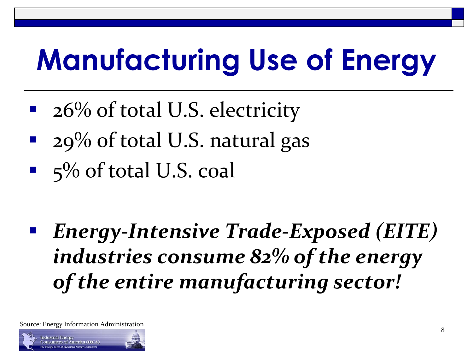# **Manufacturing Use of Energy**

- 26% of total U.S. electricity
- 29% of total U.S. natural gas
- $\blacksquare$  5% of total U.S. coal

 *Energy-Intensive Trade-Exposed (EITE) industries consume 82% of the energy of the entire manufacturing sector!*

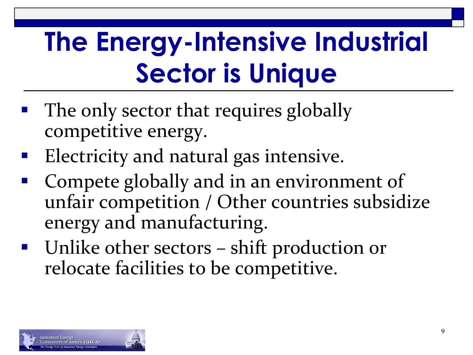### **The Energy-Intensive Industrial Sector is Unique**

- The only sector that requires globally competitive energy.
- **Electricity and natural gas intensive.**
- Compete globally and in an environment of unfair competition / Other countries subsidize energy and manufacturing.
- Unlike other sectors shift production or relocate facilities to be competitive.

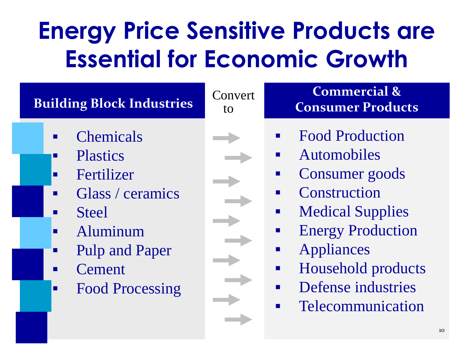### **Energy Price Sensitive Products are Essential for Economic Growth**

#### **Building Block Industries**

- **Chemicals**
- **Plastics**
- **Fertilizer**
- **Glass** / ceramics
- **Steel**
- **Aluminum** 
	- Pulp and Paper
- **Cement**
- Food Processing

Convert



#### **Commercial & Consumer Products**

- Food Production
- **Automobiles**
- Consumer goods
- Construction
- **Nedical Supplies**
- **Energy Production**
- **Appliances**
- **Household products**
- **•** Defense industries
- **EXECOMMUNICATION**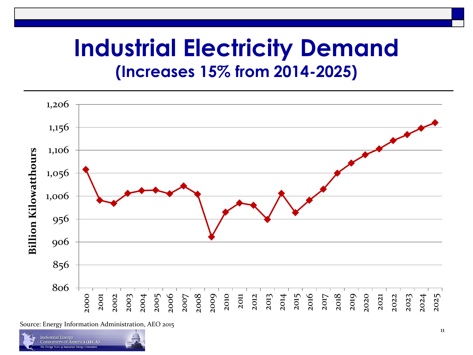### **Industrial Electricity Demand (Increases 15% from 2014-2025)**



Source: Energy Information Administration, AEO 2015

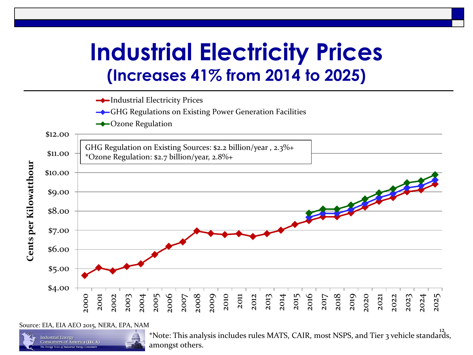### **Industrial Electricity Prices (Increases 41% from 2014 to 2025)**



Source: EIA, EIA AEO 2015, NERA, EPA, NAM

Industrial Energy

12 \*Note: This analysis includes rules MATS, CAIR, most NSPS, and Tier 3 vehicle standards, amongst others.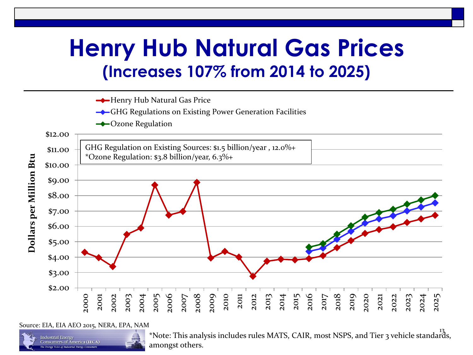### **Henry Hub Natural Gas Prices (Increases 107% from 2014 to 2025)**



Source: EIA, EIA AEO 2015, NERA, EPA, NAM

**Industrial Energy** 

13 \*Note: This analysis includes rules MATS, CAIR, most NSPS, and Tier 3 vehicle standards, amongst others.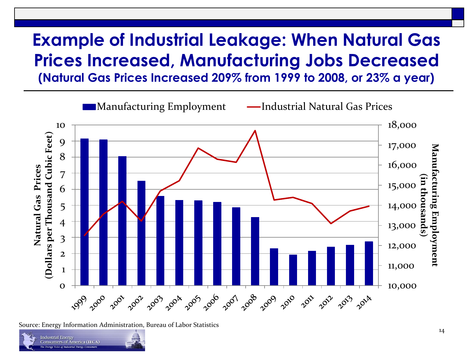#### **Example of Industrial Leakage: When Natural Gas Prices Increased, Manufacturing Jobs Decreased (Natural Gas Prices Increased 209% from 1999 to 2008, or 23% a year)**



Source: Energy Information Administration, Bureau of Labor Statistics

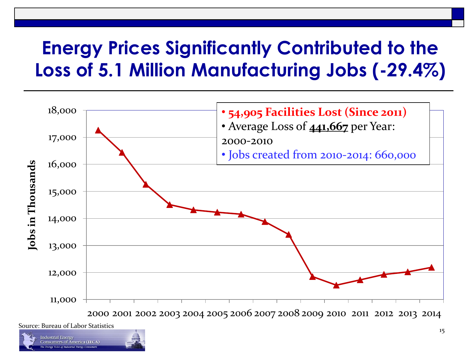### **Energy Prices Significantly Contributed to the Loss of 5.1 Million Manufacturing Jobs (-29.4%)**



2000 2001 2002 2003 2004 2005 2006 2007 2008 2009 2010 2011 2012 2013 2014

Source: Bureau of Labor Statistics

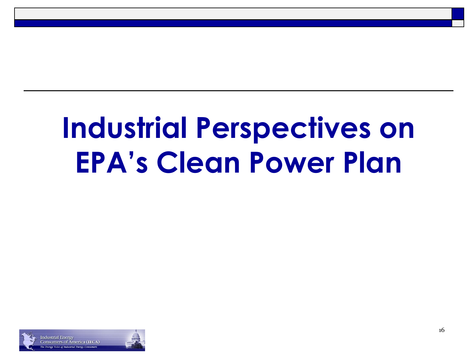# **Industrial Perspectives on EPA's Clean Power Plan**

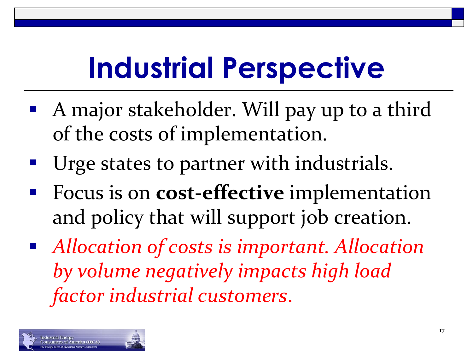# **Industrial Perspective**

- A major stakeholder. Will pay up to a third of the costs of implementation.
- Urge states to partner with industrials.
- Focus is on **cost-effective** implementation and policy that will support job creation.
- *Allocation of costs is important. Allocation by volume negatively impacts high load factor industrial customers*.

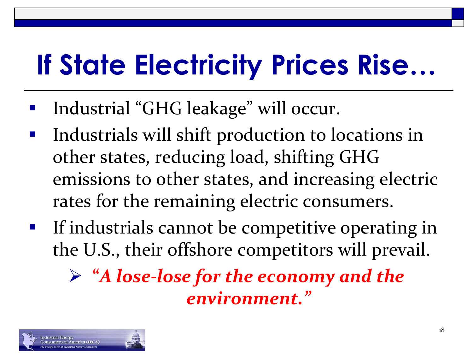# **If State Electricity Prices Rise…**

- Industrial "GHG leakage" will occur.
- Industrials will shift production to locations in other states, reducing load, shifting GHG emissions to other states, and increasing electric rates for the remaining electric consumers.
- **If industrials cannot be competitive operating in** the U.S., their offshore competitors will prevail.

 **"***A lose-lose for the economy and the environment."* 

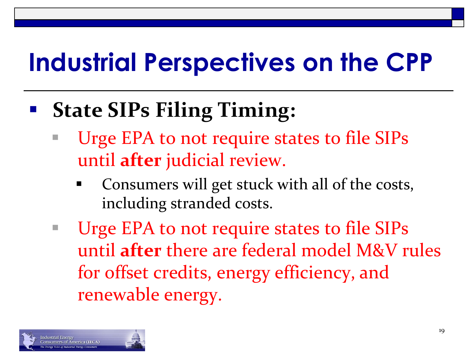### **State SIPs Filing Timing:**

- Urge EPA to not require states to file SIPs until **after** judicial review.
	- Consumers will get stuck with all of the costs, including stranded costs.
- Urge EPA to not require states to file SIPs until **after** there are federal model M&V rules for offset credits, energy efficiency, and renewable energy.

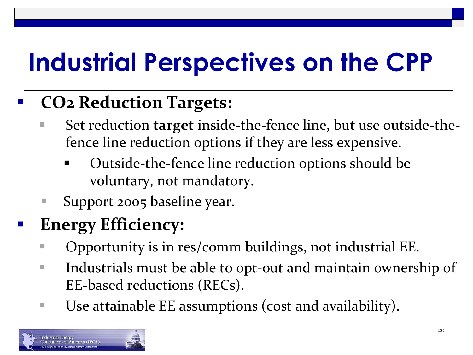#### **CO2 Reduction Targets:**

- Set reduction **target** inside-the-fence line, but use outside-thefence line reduction options if they are less expensive.
	- Outside-the-fence line reduction options should be voluntary, not mandatory.
- Support 2005 baseline year.

### **Energy Efficiency:**

- Opportunity is in res/comm buildings, not industrial EE.
- **Industrials must be able to opt-out and maintain ownership of** EE-based reductions (RECs).
- Use attainable EE assumptions (cost and availability).

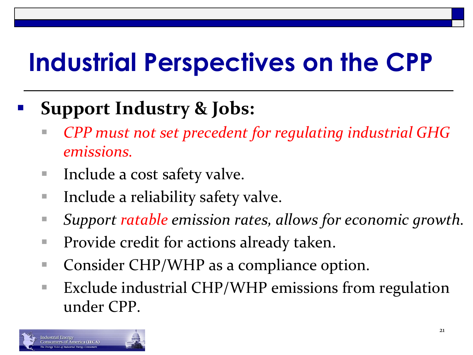### **Support Industry & Jobs:**

- *CPP must not set precedent for regulating industrial GHG emissions.*
- Include a cost safety valve.
- Include a reliability safety valve.
- *Support ratable emission rates, allows for economic growth.*
- Provide credit for actions already taken.
- Consider CHP/WHP as a compliance option.
- Exclude industrial CHP/WHP emissions from regulation under CPP.

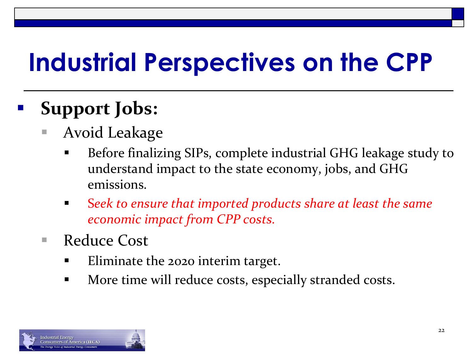### **Support Jobs:**

- Avoid Leakage
	- Before finalizing SIPs, complete industrial GHG leakage study to understand impact to the state economy, jobs, and GHG emissions.
	- S*eek to ensure that imported products share at least the same economic impact from CPP costs.*
- Reduce Cost
	- **Eliminate the 2020 interim target.**
	- **More time will reduce costs, especially stranded costs.**

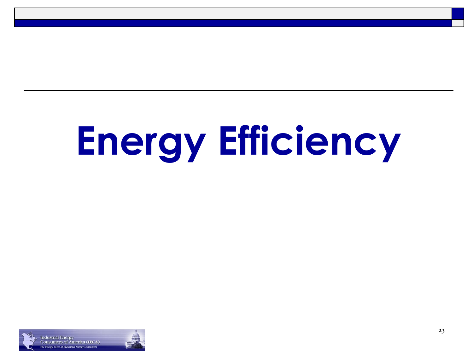# **Energy Efficiency**

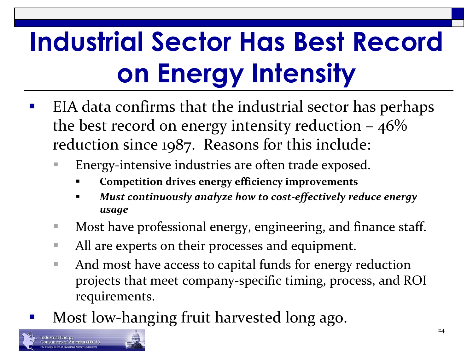# **Industrial Sector Has Best Record on Energy Intensity**

- EIA data confirms that the industrial sector has perhaps the best record on energy intensity reduction  $-46\%$ reduction since 1987. Reasons for this include:
	- Energy-intensive industries are often trade exposed.
		- **Competition drives energy efficiency improvements**
		- *Must continuously analyze how to cost-effectively reduce energy usage*
	- Most have professional energy, engineering, and finance staff.
	- All are experts on their processes and equipment.
	- And most have access to capital funds for energy reduction projects that meet company-specific timing, process, and ROI requirements.
- Most low-hanging fruit harvested long ago.

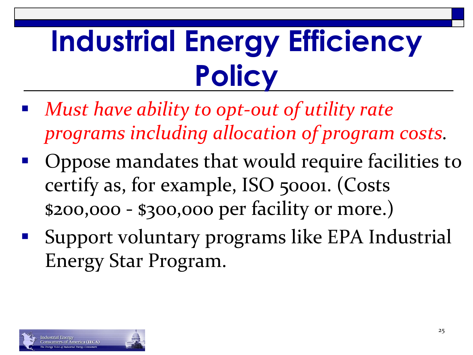# **Industrial Energy Efficiency Policy**

- *Must have ability to opt-out of utility rate programs including allocation of program costs.*
- Oppose mandates that would require facilities to certify as, for example, ISO 50001. (Costs \$200,000 - \$300,000 per facility or more.)
- Support voluntary programs like EPA Industrial Energy Star Program.

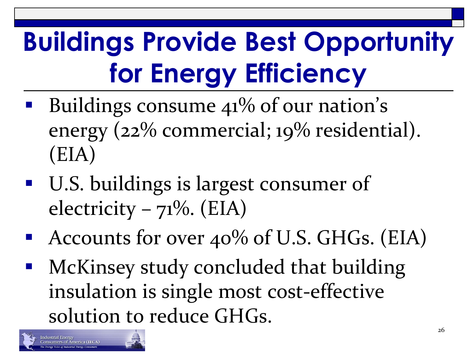# **Buildings Provide Best Opportunity for Energy Efficiency**

- Buildings consume 41% of our nation's energy (22% commercial; 19% residential). (EIA)
- **U.S. buildings is largest consumer of** electricity –  $71\%$ . (EIA)
- Accounts for over  $40\%$  of U.S. GHGs. (EIA)
- McKinsey study concluded that building insulation is single most cost-effective solution to reduce GHGs.

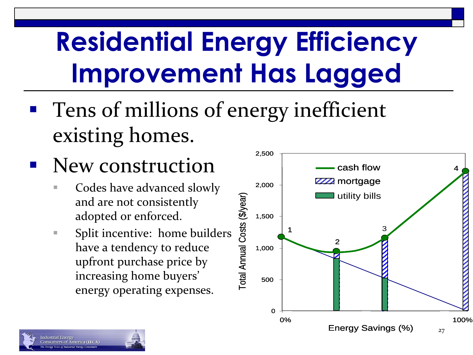### **Residential Energy Efficiency Improvement Has Lagged**

- **Tens of millions of energy inefficient** existing homes.
- New construction
	- Codes have advanced slowly and are not consistently adopted or enforced.
	- **Split incentive: home builders** have a tendency to reduce upfront purchase price by increasing home buyers' energy operating expenses.

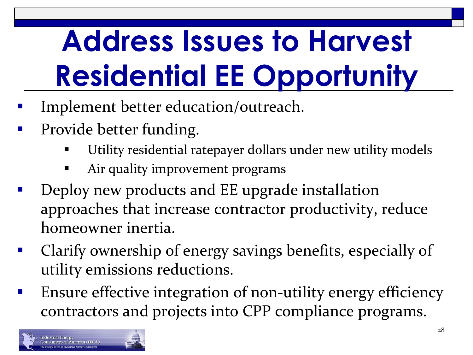# **Address Issues to Harvest Residential EE Opportunity**

- Implement better education/outreach.
- Provide better funding.
	- Utility residential ratepayer dollars under new utility models
	- Air quality improvement programs
- Deploy new products and EE upgrade installation approaches that increase contractor productivity, reduce homeowner inertia.
- Clarify ownership of energy savings benefits, especially of utility emissions reductions.
- Ensure effective integration of non-utility energy efficiency contractors and projects into CPP compliance programs.

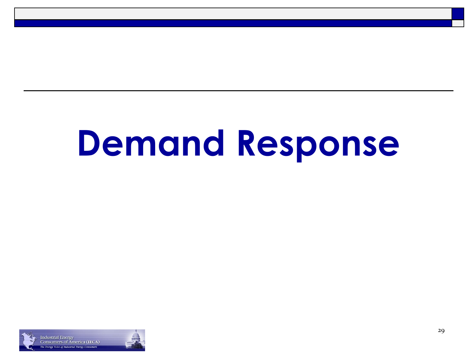# **Demand Response**

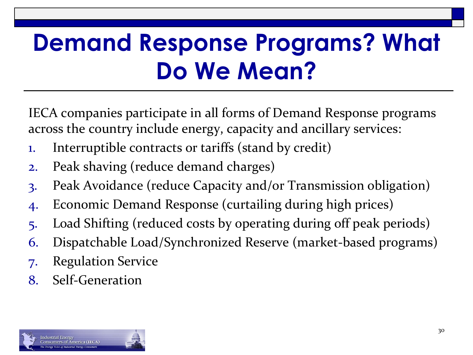### **Demand Response Programs? What Do We Mean?**

IECA companies participate in all forms of Demand Response programs across the country include energy, capacity and ancillary services:

- 1. Interruptible contracts or tariffs (stand by credit)
- 2. Peak shaving (reduce demand charges)
- 3. Peak Avoidance (reduce Capacity and/or Transmission obligation)
- 4. Economic Demand Response (curtailing during high prices)
- 5. Load Shifting (reduced costs by operating during off peak periods)
- 6. Dispatchable Load/Synchronized Reserve (market-based programs)
- 7. Regulation Service
- 8. Self-Generation

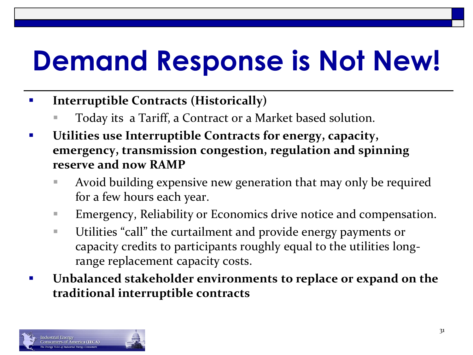# **Demand Response is Not New!**

- **Interruptible Contracts (Historically)**
	- Today its a Tariff, a Contract or a Market based solution.
- **Utilities use Interruptible Contracts for energy, capacity, emergency, transmission congestion, regulation and spinning reserve and now RAMP** 
	- Avoid building expensive new generation that may only be required for a few hours each year.
	- Emergency, Reliability or Economics drive notice and compensation.
	- Utilities "call" the curtailment and provide energy payments or capacity credits to participants roughly equal to the utilities longrange replacement capacity costs.
- **Unbalanced stakeholder environments to replace or expand on the traditional interruptible contracts**

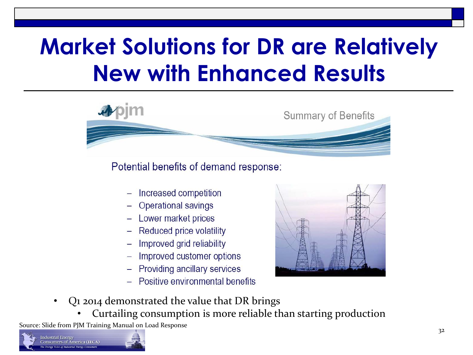### **Market Solutions for DR are Relatively New with Enhanced Results**



Potential benefits of demand response:

- Increased competition
- **Operational savings**
- Lower market prices
- Reduced price volatility
- Improved grid reliability
- Improved customer options
- **Providing ancillary services**
- Positive environmental benefits



- Q1 2014 demonstrated the value that DR brings
	- Curtailing consumption is more reliable than starting production

Source: Slide from PJM Training Manual on Load Response

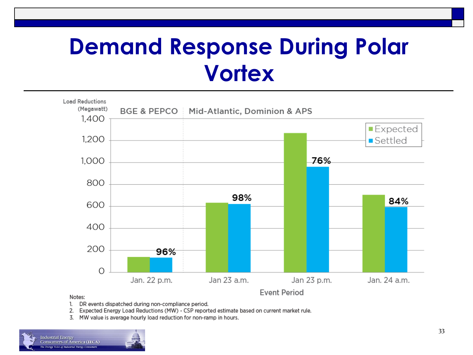### **Demand Response During Polar Vortex**



#### Notes:

- DR events dispatched during non-compliance period. 1.
- 2. Expected Energy Load Reductions (MW) - CSP reported estimate based on current market rule.
- 3. MW value is average hourly load reduction for non-ramp in hours.

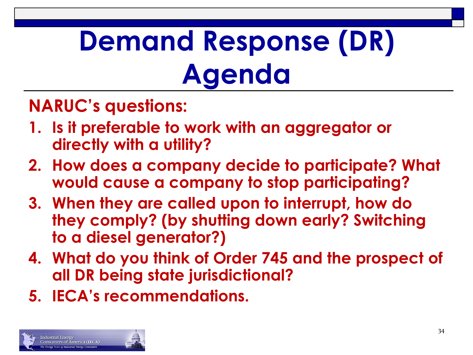# **Demand Response (DR) Agenda**

#### **NARUC's questions:**

- **1. Is it preferable to work with an aggregator or directly with a utility?**
- **2. How does a company decide to participate? What would cause a company to stop participating?**
- **3. When they are called upon to interrupt, how do they comply? (by shutting down early? Switching to a diesel generator?)**
- **4. What do you think of Order 745 and the prospect of all DR being state jurisdictional?**
- **5. IECA's recommendations.**

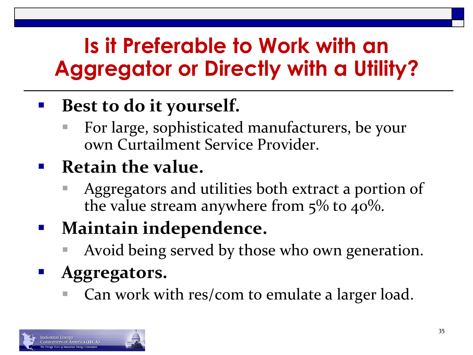### **Is it Preferable to Work with an Aggregator or Directly with a Utility?**

### **Best to do it yourself.**

 For large, sophisticated manufacturers, be your own Curtailment Service Provider.

#### **Retain the value.**

 Aggregators and utilities both extract a portion of the value stream anywhere from  $5\%$  to  $40\%$ .

### **Maintain independence.**

Avoid being served by those who own generation.

#### **Aggregators.**

■ Can work with res/com to emulate a larger load.

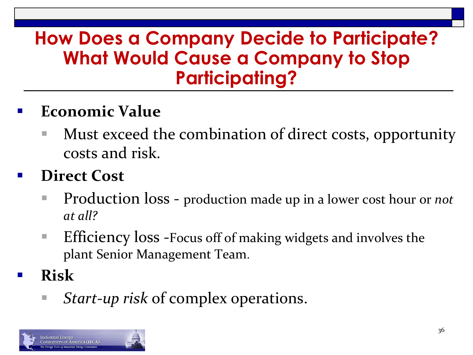#### **How Does a Company Decide to Participate? What Would Cause a Company to Stop Participating?**

#### **Economic Value**

**Must exceed the combination of direct costs, opportunity** costs and risk.

#### **Direct Cost**

- Production loss production made up in a lower cost hour or *not at all?*
- **Efficiency loss -Focus off of making widgets and involves the** plant Senior Management Team.
- **Risk**
	- *Start-up risk* of complex operations.

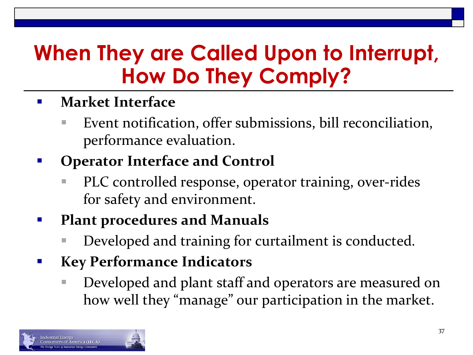### **When They are Called Upon to Interrupt, How Do They Comply?**

- **Market Interface** 
	- Event notification, offer submissions, bill reconciliation, performance evaluation.
- **Operator Interface and Control** 
	- PLC controlled response, operator training, over-rides for safety and environment.
- **Plant procedures and Manuals** 
	- Developed and training for curtailment is conducted.
- **Key Performance Indicators** 
	- Developed and plant staff and operators are measured on how well they "manage" our participation in the market.

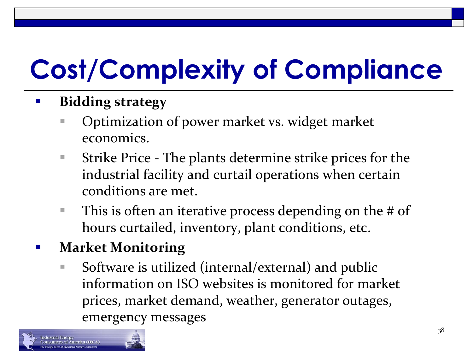# **Cost/Complexity of Compliance**

- **Bidding strategy** 
	- Optimization of power market vs. widget market economics.
	- Strike Price The plants determine strike prices for the industrial facility and curtail operations when certain conditions are met.
	- $\blacksquare$  This is often an iterative process depending on the # of hours curtailed, inventory, plant conditions, etc.
- **Market Monitoring** 
	- Software is utilized (internal/external) and public information on ISO websites is monitored for market prices, market demand, weather, generator outages, emergency messages

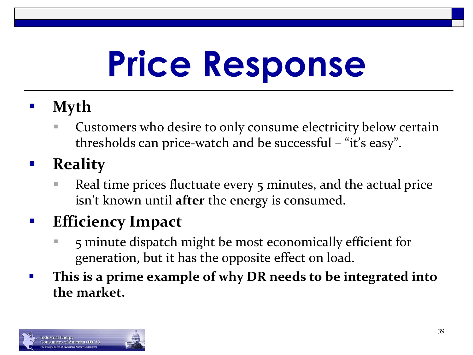# **Price Response**

- **Myth** 
	- Customers who desire to only consume electricity below certain thresholds can price-watch and be successful – "it's easy".
- **Reality** 
	- Real time prices fluctuate every 5 minutes, and the actual price isn't known until **after** the energy is consumed.

#### **Efficiency Impact**

- 5 minute dispatch might be most economically efficient for generation, but it has the opposite effect on load.
- **This is a prime example of why DR needs to be integrated into the market.**

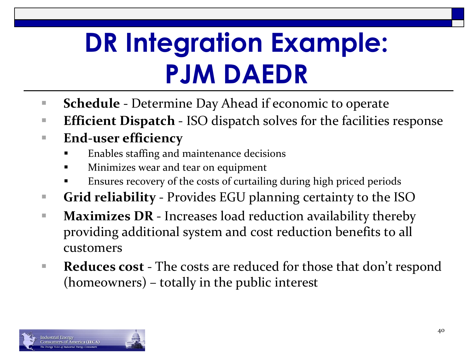### **DR Integration Example: PJM DAEDR**

- **Schedule** Determine Day Ahead if economic to operate
- **Efficient Dispatch ISO dispatch solves for the facilities response**
- **End-user efficiency**
	- Enables staffing and maintenance decisions
	- Minimizes wear and tear on equipment
	- Ensures recovery of the costs of curtailing during high priced periods
- **Grid reliability**  Provides EGU planning certainty to the ISO
- **Maximizes DR** Increases load reduction availability thereby providing additional system and cost reduction benefits to all customers
- **Reduces cost** The costs are reduced for those that don't respond (homeowners) – totally in the public interest

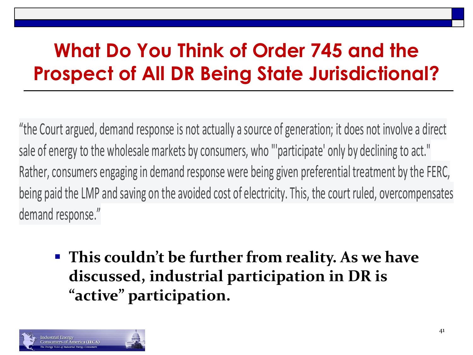### **What Do You Think of Order 745 and the Prospect of All DR Being State Jurisdictional?**

"the Court argued, demand response is not actually a source of generation; it does not involve a direct sale of energy to the wholesale markets by consumers, who "'participate' only by declining to act." Rather, consumers engaging in demand response were being given preferential treatment by the FERC, being paid the LMP and saving on the avoided cost of electricity. This, the court ruled, overcompensates demand response."

 **This couldn't be further from reality. As we have discussed, industrial participation in DR is "active" participation.**

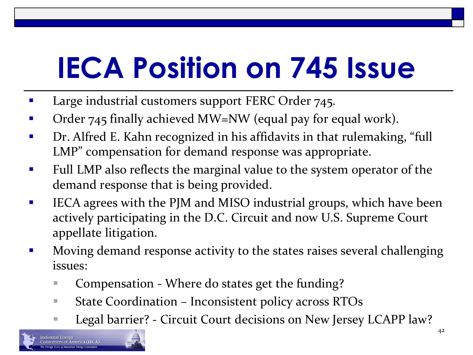# **IECA Position on 745 Issue**

- Large industrial customers support FERC Order 745.
- Order 745 finally achieved MW=NW (equal pay for equal work).
- **•** Dr. Alfred E. Kahn recognized in his affidavits in that rulemaking, "full LMP" compensation for demand response was appropriate.
- **Full LMP** also reflects the marginal value to the system operator of the demand response that is being provided.
- **IFCA agrees with the PJM and MISO industrial groups, which have been** actively participating in the D.C. Circuit and now U.S. Supreme Court appellate litigation.
- **Moving demand response activity to the states raises several challenging** issues:
	- Compensation Where do states get the funding?
	- State Coordination Inconsistent policy across RTOs
	- Legal barrier? Circuit Court decisions on New Jersey LCAPP law?

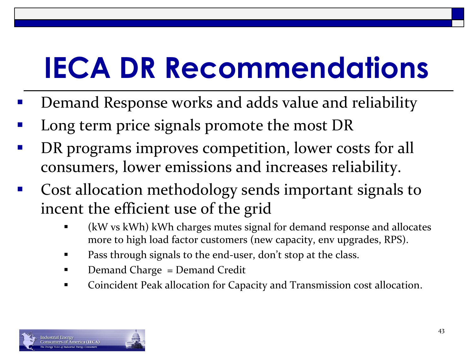# **IECA DR Recommendations**

- Demand Response works and adds value and reliability
- Long term price signals promote the most DR
- DR programs improves competition, lower costs for all consumers, lower emissions and increases reliability.
- Cost allocation methodology sends important signals to incent the efficient use of the grid
	- (kW vs kWh) kWh charges mutes signal for demand response and allocates more to high load factor customers (new capacity, env upgrades, RPS).
	- Pass through signals to the end-user, don't stop at the class.
	- Demand Charge = Demand Credit
	- Coincident Peak allocation for Capacity and Transmission cost allocation.

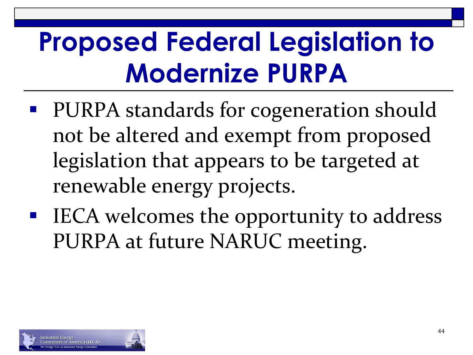### **Proposed Federal Legislation to Modernize PURPA**

- PURPA standards for cogeneration should not be altered and exempt from proposed legislation that appears to be targeted at renewable energy projects.
- IECA welcomes the opportunity to address PURPA at future NARUC meeting.